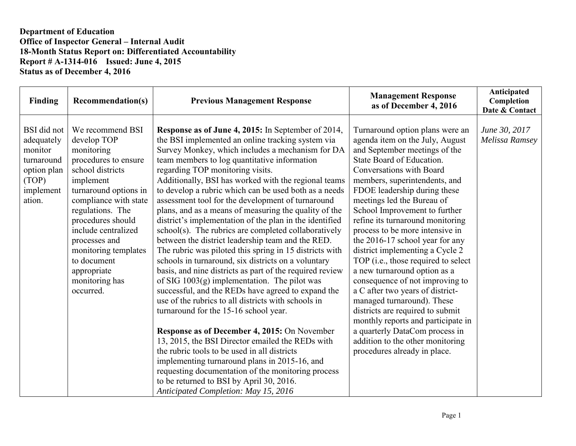| Finding                                                                                           | <b>Recommendation(s)</b>                                                                                                                                                                                                                                                                                                       | <b>Previous Management Response</b>                                                                                                                                                                                                                                                                                                                                                                                                                                                                                                                                                                                                                                                                                                                                                                                                                                                                                                                                                                                                                                                                                                                                                                                                                                                                                                                                                                       | <b>Management Response</b><br>as of December 4, 2016                                                                                                                                                                                                                                                                                                                                                                                                                                                                                                                                                                                                                                                                                                                                                  | Anticipated<br>Completion<br>Date & Contact |
|---------------------------------------------------------------------------------------------------|--------------------------------------------------------------------------------------------------------------------------------------------------------------------------------------------------------------------------------------------------------------------------------------------------------------------------------|-----------------------------------------------------------------------------------------------------------------------------------------------------------------------------------------------------------------------------------------------------------------------------------------------------------------------------------------------------------------------------------------------------------------------------------------------------------------------------------------------------------------------------------------------------------------------------------------------------------------------------------------------------------------------------------------------------------------------------------------------------------------------------------------------------------------------------------------------------------------------------------------------------------------------------------------------------------------------------------------------------------------------------------------------------------------------------------------------------------------------------------------------------------------------------------------------------------------------------------------------------------------------------------------------------------------------------------------------------------------------------------------------------------|-------------------------------------------------------------------------------------------------------------------------------------------------------------------------------------------------------------------------------------------------------------------------------------------------------------------------------------------------------------------------------------------------------------------------------------------------------------------------------------------------------------------------------------------------------------------------------------------------------------------------------------------------------------------------------------------------------------------------------------------------------------------------------------------------------|---------------------------------------------|
| BSI did not<br>adequately<br>monitor<br>turnaround<br>option plan<br>(TOP)<br>implement<br>ation. | We recommend BSI<br>develop TOP<br>monitoring<br>procedures to ensure<br>school districts<br>implement<br>turnaround options in<br>compliance with state<br>regulations. The<br>procedures should<br>include centralized<br>processes and<br>monitoring templates<br>to document<br>appropriate<br>monitoring has<br>occurred. | <b>Response as of June 4, 2015:</b> In September of 2014,<br>the BSI implemented an online tracking system via<br>Survey Monkey, which includes a mechanism for DA<br>team members to log quantitative information<br>regarding TOP monitoring visits.<br>Additionally, BSI has worked with the regional teams<br>to develop a rubric which can be used both as a needs<br>assessment tool for the development of turnaround<br>plans, and as a means of measuring the quality of the<br>district's implementation of the plan in the identified<br>school(s). The rubrics are completed collaboratively<br>between the district leadership team and the RED.<br>The rubric was piloted this spring in 15 districts with<br>schools in turnaround, six districts on a voluntary<br>basis, and nine districts as part of the required review<br>of SIG $1003(g)$ implementation. The pilot was<br>successful, and the REDs have agreed to expand the<br>use of the rubrics to all districts with schools in<br>turnaround for the 15-16 school year.<br><b>Response as of December 4, 2015: On November</b><br>13, 2015, the BSI Director emailed the REDs with<br>the rubric tools to be used in all districts<br>implementing turnaround plans in 2015-16, and<br>requesting documentation of the monitoring process<br>to be returned to BSI by April 30, 2016.<br>Anticipated Completion: May 15, 2016 | Turnaround option plans were an<br>agenda item on the July, August<br>and September meetings of the<br>State Board of Education.<br>Conversations with Board<br>members, superintendents, and<br>FDOE leadership during these<br>meetings led the Bureau of<br>School Improvement to further<br>refine its turnaround monitoring<br>process to be more intensive in<br>the 2016-17 school year for any<br>district implementing a Cycle 2<br>TOP (i.e., those required to select<br>a new turnaround option as a<br>consequence of not improving to<br>a C after two years of district-<br>managed turnaround). These<br>districts are required to submit<br>monthly reports and participate in<br>a quarterly DataCom process in<br>addition to the other monitoring<br>procedures already in place. | June 30, 2017<br>Melissa Ramsey             |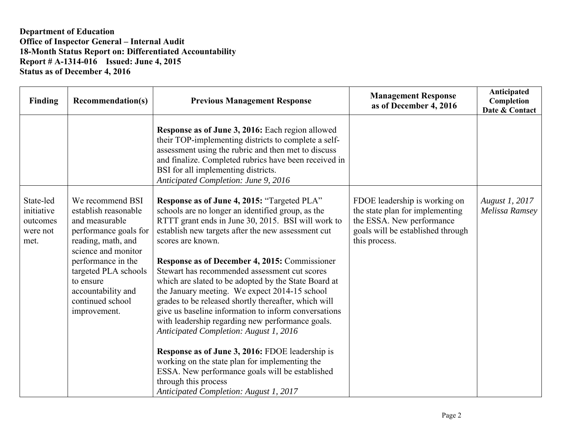| Finding                                                 | <b>Recommendation(s)</b>                                                                                                                                                                                                                              | <b>Previous Management Response</b>                                                                                                                                                                                                                                                                                                                                                                                                                                                                                                                                                                                                                                                                                                                                                                                                                                                  | <b>Management Response</b><br>as of December 4, 2016                                                                                                | Anticipated<br>Completion<br>Date & Contact |
|---------------------------------------------------------|-------------------------------------------------------------------------------------------------------------------------------------------------------------------------------------------------------------------------------------------------------|--------------------------------------------------------------------------------------------------------------------------------------------------------------------------------------------------------------------------------------------------------------------------------------------------------------------------------------------------------------------------------------------------------------------------------------------------------------------------------------------------------------------------------------------------------------------------------------------------------------------------------------------------------------------------------------------------------------------------------------------------------------------------------------------------------------------------------------------------------------------------------------|-----------------------------------------------------------------------------------------------------------------------------------------------------|---------------------------------------------|
|                                                         |                                                                                                                                                                                                                                                       | Response as of June 3, 2016: Each region allowed<br>their TOP-implementing districts to complete a self-<br>assessment using the rubric and then met to discuss<br>and finalize. Completed rubrics have been received in<br>BSI for all implementing districts.<br>Anticipated Completion: June 9, 2016                                                                                                                                                                                                                                                                                                                                                                                                                                                                                                                                                                              |                                                                                                                                                     |                                             |
| State-led<br>initiative<br>outcomes<br>were not<br>met. | We recommend BSI<br>establish reasonable<br>and measurable<br>performance goals for<br>reading, math, and<br>science and monitor<br>performance in the<br>targeted PLA schools<br>to ensure<br>accountability and<br>continued school<br>improvement. | Response as of June 4, 2015: "Targeted PLA"<br>schools are no longer an identified group, as the<br>RTTT grant ends in June 30, 2015. BSI will work to<br>establish new targets after the new assessment cut<br>scores are known.<br>Response as of December 4, 2015: Commissioner<br>Stewart has recommended assessment cut scores<br>which are slated to be adopted by the State Board at<br>the January meeting. We expect 2014-15 school<br>grades to be released shortly thereafter, which will<br>give us baseline information to inform conversations<br>with leadership regarding new performance goals.<br>Anticipated Completion: August 1, 2016<br>Response as of June 3, 2016: FDOE leadership is<br>working on the state plan for implementing the<br>ESSA. New performance goals will be established<br>through this process<br>Anticipated Completion: August 1, 2017 | FDOE leadership is working on<br>the state plan for implementing<br>the ESSA. New performance<br>goals will be established through<br>this process. | August 1, 2017<br>Melissa Ramsey            |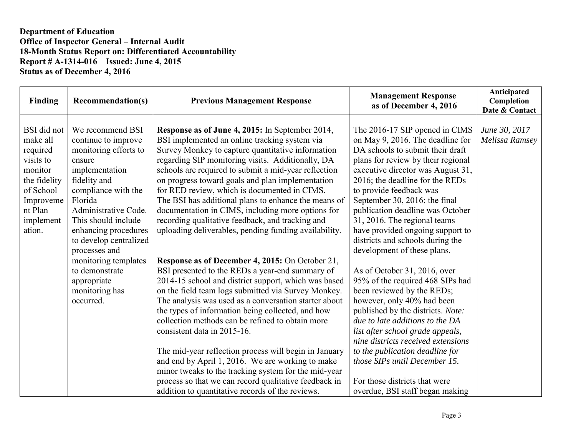| <b>Finding</b>                                                                                                                          | <b>Recommendation(s)</b>                                                                                                                                                                                                                        | <b>Previous Management Response</b>                                                                                                                                                                                                                                                                                                                                                                                                                                                                                                                                                                                                                                                                  | <b>Management Response</b><br>as of December 4, 2016                                                                                                                                                                                                                                                                                                                                                                                                        | Anticipated<br>Completion<br>Date & Contact |
|-----------------------------------------------------------------------------------------------------------------------------------------|-------------------------------------------------------------------------------------------------------------------------------------------------------------------------------------------------------------------------------------------------|------------------------------------------------------------------------------------------------------------------------------------------------------------------------------------------------------------------------------------------------------------------------------------------------------------------------------------------------------------------------------------------------------------------------------------------------------------------------------------------------------------------------------------------------------------------------------------------------------------------------------------------------------------------------------------------------------|-------------------------------------------------------------------------------------------------------------------------------------------------------------------------------------------------------------------------------------------------------------------------------------------------------------------------------------------------------------------------------------------------------------------------------------------------------------|---------------------------------------------|
| BSI did not<br>make all<br>required<br>visits to<br>monitor<br>the fidelity<br>of School<br>Improveme<br>nt Plan<br>implement<br>ation. | We recommend BSI<br>continue to improve<br>monitoring efforts to<br>ensure<br>implementation<br>fidelity and<br>compliance with the<br>Florida<br>Administrative Code.<br>This should include<br>enhancing procedures<br>to develop centralized | Response as of June 4, 2015: In September 2014,<br>BSI implemented an online tracking system via<br>Survey Monkey to capture quantitative information<br>regarding SIP monitoring visits. Additionally, DA<br>schools are required to submit a mid-year reflection<br>on progress toward goals and plan implementation<br>for RED review, which is documented in CIMS.<br>The BSI has additional plans to enhance the means of<br>documentation in CIMS, including more options for<br>recording qualitative feedback, and tracking and<br>uploading deliverables, pending funding availability.                                                                                                     | The 2016-17 SIP opened in CIMS<br>on May 9, 2016. The deadline for<br>DA schools to submit their draft<br>plans for review by their regional<br>executive director was August 31,<br>2016; the deadline for the REDs<br>to provide feedback was<br>September 30, 2016; the final<br>publication deadline was October<br>31, 2016. The regional teams<br>have provided ongoing support to<br>districts and schools during the<br>development of these plans. | June 30, 2017<br>Melissa Ramsey             |
|                                                                                                                                         | processes and<br>monitoring templates<br>to demonstrate<br>appropriate<br>monitoring has<br>occurred.                                                                                                                                           | Response as of December 4, 2015: On October 21,<br>BSI presented to the REDs a year-end summary of<br>2014-15 school and district support, which was based<br>on the field team logs submitted via Survey Monkey.<br>The analysis was used as a conversation starter about<br>the types of information being collected, and how<br>collection methods can be refined to obtain more<br>consistent data in 2015-16.<br>The mid-year reflection process will begin in January<br>and end by April 1, 2016. We are working to make<br>minor tweaks to the tracking system for the mid-year<br>process so that we can record qualitative feedback in<br>addition to quantitative records of the reviews. | As of October 31, 2016, over<br>95% of the required 468 SIPs had<br>been reviewed by the REDs;<br>however, only 40% had been<br>published by the districts. Note:<br>due to late additions to the DA<br>list after school grade appeals,<br>nine districts received extensions<br>to the publication deadline for<br>those SIPs until December 15.<br>For those districts that were<br>overdue, BSI staff began making                                      |                                             |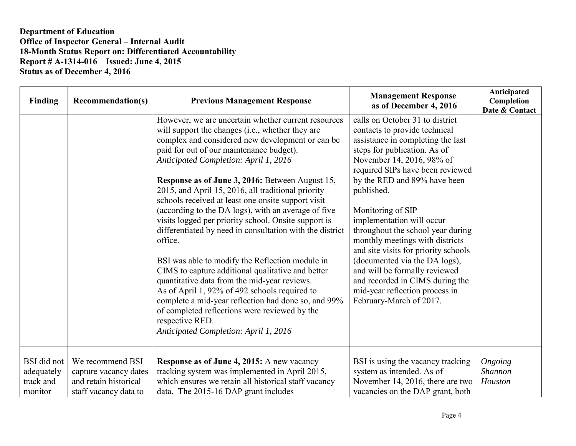| Finding                                                  | <b>Recommendation(s)</b>                                                                    | <b>Previous Management Response</b>                                                                                                                                                                                                                                                                                                                                                                                                                                                                                                                                                                                                                                                                                                                                                                                                                                                                                                                                                | <b>Management Response</b><br>as of December 4, 2016                                                                                                                                                                                                                                                                                                                                                                                                                                                                                                                                     | Anticipated<br>Completion<br>Date & Contact |
|----------------------------------------------------------|---------------------------------------------------------------------------------------------|------------------------------------------------------------------------------------------------------------------------------------------------------------------------------------------------------------------------------------------------------------------------------------------------------------------------------------------------------------------------------------------------------------------------------------------------------------------------------------------------------------------------------------------------------------------------------------------------------------------------------------------------------------------------------------------------------------------------------------------------------------------------------------------------------------------------------------------------------------------------------------------------------------------------------------------------------------------------------------|------------------------------------------------------------------------------------------------------------------------------------------------------------------------------------------------------------------------------------------------------------------------------------------------------------------------------------------------------------------------------------------------------------------------------------------------------------------------------------------------------------------------------------------------------------------------------------------|---------------------------------------------|
|                                                          |                                                                                             | However, we are uncertain whether current resources<br>will support the changes (i.e., whether they are<br>complex and considered new development or can be<br>paid for out of our maintenance budget).<br>Anticipated Completion: April 1, 2016<br>Response as of June 3, 2016: Between August 15,<br>2015, and April 15, 2016, all traditional priority<br>schools received at least one onsite support visit<br>(according to the DA logs), with an average of five<br>visits logged per priority school. Onsite support is<br>differentiated by need in consultation with the district<br>office.<br>BSI was able to modify the Reflection module in<br>CIMS to capture additional qualitative and better<br>quantitative data from the mid-year reviews.<br>As of April 1, 92% of 492 schools required to<br>complete a mid-year reflection had done so, and 99%<br>of completed reflections were reviewed by the<br>respective RED.<br>Anticipated Completion: April 1, 2016 | calls on October 31 to district<br>contacts to provide technical<br>assistance in completing the last<br>steps for publication. As of<br>November 14, 2016, 98% of<br>required SIPs have been reviewed<br>by the RED and 89% have been<br>published.<br>Monitoring of SIP<br>implementation will occur<br>throughout the school year during<br>monthly meetings with districts<br>and site visits for priority schools<br>(documented via the DA logs),<br>and will be formally reviewed<br>and recorded in CIMS during the<br>mid-year reflection process in<br>February-March of 2017. |                                             |
| <b>BSI</b> did not<br>adequately<br>track and<br>monitor | We recommend BSI<br>capture vacancy dates<br>and retain historical<br>staff vacancy data to | <b>Response as of June 4, 2015:</b> A new vacancy<br>tracking system was implemented in April 2015,<br>which ensures we retain all historical staff vacancy<br>data. The 2015-16 DAP grant includes                                                                                                                                                                                                                                                                                                                                                                                                                                                                                                                                                                                                                                                                                                                                                                                | BSI is using the vacancy tracking<br>system as intended. As of<br>November 14, 2016, there are two<br>vacancies on the DAP grant, both                                                                                                                                                                                                                                                                                                                                                                                                                                                   | Ongoing<br><b>Shannon</b><br>Houston        |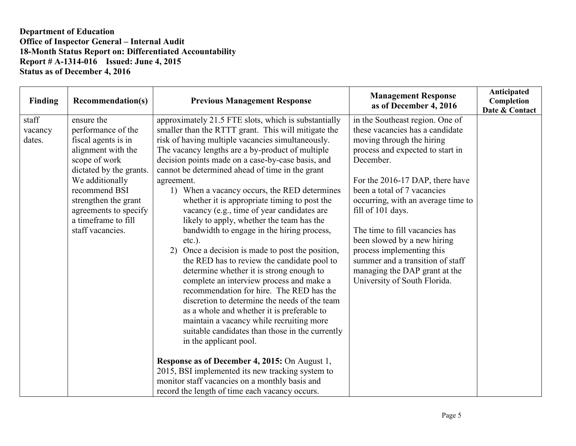| Finding                    | <b>Recommendation(s)</b>                                                                                                                                                                                                                                  | <b>Previous Management Response</b>                                                                                                                                                                                                                                                                                                                                                                                                                                                                                                                                                                                                                                                                                                                                                                                                                                                                                                                                                                                                                                                                                                                                                                                                                                         | <b>Management Response</b><br>as of December 4, 2016                                                                                                                                                                                                                                                                                                                                                                                                                             | Anticipated<br>Completion<br>Date & Contact |
|----------------------------|-----------------------------------------------------------------------------------------------------------------------------------------------------------------------------------------------------------------------------------------------------------|-----------------------------------------------------------------------------------------------------------------------------------------------------------------------------------------------------------------------------------------------------------------------------------------------------------------------------------------------------------------------------------------------------------------------------------------------------------------------------------------------------------------------------------------------------------------------------------------------------------------------------------------------------------------------------------------------------------------------------------------------------------------------------------------------------------------------------------------------------------------------------------------------------------------------------------------------------------------------------------------------------------------------------------------------------------------------------------------------------------------------------------------------------------------------------------------------------------------------------------------------------------------------------|----------------------------------------------------------------------------------------------------------------------------------------------------------------------------------------------------------------------------------------------------------------------------------------------------------------------------------------------------------------------------------------------------------------------------------------------------------------------------------|---------------------------------------------|
| staff<br>vacancy<br>dates. | ensure the<br>performance of the<br>fiscal agents is in<br>alignment with the<br>scope of work<br>dictated by the grants.<br>We additionally<br>recommend BSI<br>strengthen the grant<br>agreements to specify<br>a timeframe to fill<br>staff vacancies. | approximately 21.5 FTE slots, which is substantially<br>smaller than the RTTT grant. This will mitigate the<br>risk of having multiple vacancies simultaneously.<br>The vacancy lengths are a by-product of multiple<br>decision points made on a case-by-case basis, and<br>cannot be determined ahead of time in the grant<br>agreement.<br>1) When a vacancy occurs, the RED determines<br>whether it is appropriate timing to post the<br>vacancy (e.g., time of year candidates are<br>likely to apply, whether the team has the<br>bandwidth to engage in the hiring process,<br>$etc.$ ).<br>Once a decision is made to post the position,<br>2)<br>the RED has to review the candidate pool to<br>determine whether it is strong enough to<br>complete an interview process and make a<br>recommendation for hire. The RED has the<br>discretion to determine the needs of the team<br>as a whole and whether it is preferable to<br>maintain a vacancy while recruiting more<br>suitable candidates than those in the currently<br>in the applicant pool.<br>Response as of December 4, 2015: On August 1,<br>2015, BSI implemented its new tracking system to<br>monitor staff vacancies on a monthly basis and<br>record the length of time each vacancy occurs. | in the Southeast region. One of<br>these vacancies has a candidate<br>moving through the hiring<br>process and expected to start in<br>December.<br>For the 2016-17 DAP, there have<br>been a total of 7 vacancies<br>occurring, with an average time to<br>fill of 101 days.<br>The time to fill vacancies has<br>been slowed by a new hiring<br>process implementing this<br>summer and a transition of staff<br>managing the DAP grant at the<br>University of South Florida. |                                             |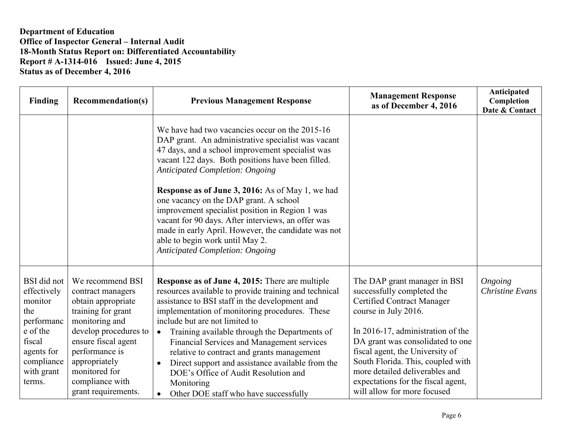| Finding                                                                                                                                     | <b>Recommendation(s)</b>                                                                                                                                                                                                                          | <b>Previous Management Response</b>                                                                                                                                                                                                                                                                                                                                                                                                                                                                                                                                                                       | <b>Management Response</b><br>as of December 4, 2016                                                                                                                                                                                                                                                                                                                            | Anticipated<br>Completion<br>Date & Contact |
|---------------------------------------------------------------------------------------------------------------------------------------------|---------------------------------------------------------------------------------------------------------------------------------------------------------------------------------------------------------------------------------------------------|-----------------------------------------------------------------------------------------------------------------------------------------------------------------------------------------------------------------------------------------------------------------------------------------------------------------------------------------------------------------------------------------------------------------------------------------------------------------------------------------------------------------------------------------------------------------------------------------------------------|---------------------------------------------------------------------------------------------------------------------------------------------------------------------------------------------------------------------------------------------------------------------------------------------------------------------------------------------------------------------------------|---------------------------------------------|
|                                                                                                                                             |                                                                                                                                                                                                                                                   | We have had two vacancies occur on the 2015-16<br>DAP grant. An administrative specialist was vacant<br>47 days, and a school improvement specialist was<br>vacant 122 days. Both positions have been filled.<br><b>Anticipated Completion: Ongoing</b><br><b>Response as of June 3, 2016:</b> As of May 1, we had<br>one vacancy on the DAP grant. A school<br>improvement specialist position in Region 1 was<br>vacant for 90 days. After interviews, an offer was<br>made in early April. However, the candidate was not<br>able to begin work until May 2.<br><b>Anticipated Completion: Ongoing</b> |                                                                                                                                                                                                                                                                                                                                                                                 |                                             |
| <b>BSI</b> did not<br>effectively<br>monitor<br>the<br>performanc<br>e of the<br>fiscal<br>agents for<br>compliance<br>with grant<br>terms. | We recommend BSI<br>contract managers<br>obtain appropriate<br>training for grant<br>monitoring and<br>develop procedures to<br>ensure fiscal agent<br>performance is<br>appropriately<br>monitored for<br>compliance with<br>grant requirements. | Response as of June 4, 2015: There are multiple<br>resources available to provide training and technical<br>assistance to BSI staff in the development and<br>implementation of monitoring procedures. These<br>include but are not limited to<br>Training available through the Departments of<br>$\bullet$<br>Financial Services and Management services<br>relative to contract and grants management<br>Direct support and assistance available from the<br>DOE's Office of Audit Resolution and<br>Monitoring<br>Other DOE staff who have successfully<br>$\bullet$                                  | The DAP grant manager in BSI<br>successfully completed the<br><b>Certified Contract Manager</b><br>course in July 2016.<br>In 2016-17, administration of the<br>DA grant was consolidated to one<br>fiscal agent, the University of<br>South Florida. This, coupled with<br>more detailed deliverables and<br>expectations for the fiscal agent,<br>will allow for more focused | Ongoing<br><b>Christine Evans</b>           |